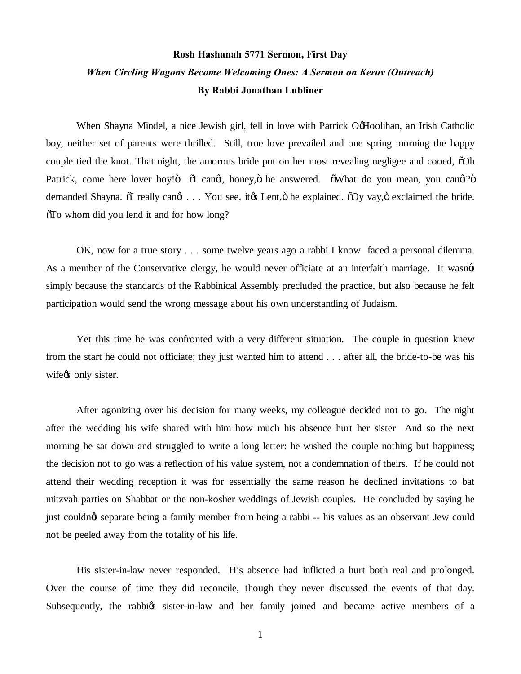## **Rosh Hashanah 5771 Sermon, First Day** *When Circling Wagons Become Welcoming Ones: A Sermon on Keruv (Outreach)* **By Rabbi Jonathan Lubliner**

When Shayna Mindel, a nice Jewish girl, fell in love with Patrick OgHoolihan, an Irish Catholic boy, neither set of parents were thrilled. Still, true love prevailed and one spring morning the happy couple tied the knot. That night, the amorous bride put on her most revealing negligee and cooed,  $\delta$ Oh Patrick, come here lover boy!" "O cangt, honey, "i he answered. "
"What do you mean, you cangt?" demanded Shayna.  $\delta I$  really cangt . . . You see, it ts Lent,  $\delta$  he explained.  $\delta Oy$  vay,  $\delta$  exclaimed the bride.  $\delta$ To whom did you lend it and for how long?

OK, now for a true story . . . some twelve years ago a rabbi I know faced a personal dilemma. As a member of the Conservative clergy, he would never officiate at an interfaith marriage. It wasnet simply because the standards of the Rabbinical Assembly precluded the practice, but also because he felt participation would send the wrong message about his own understanding of Judaism.

Yet this time he was confronted with a very different situation. The couple in question knew from the start he could not officiate; they just wanted him to attend . . . after all, the bride-to-be was his wife<sub>%</sub> only sister.

After agonizing over his decision for many weeks, my colleague decided not to go. The night after the wedding his wife shared with him how much his absence hurt her sister And so the next morning he sat down and struggled to write a long letter: he wished the couple nothing but happiness; the decision not to go was a reflection of his value system, not a condemnation of theirs. If he could not attend their wedding reception it was for essentially the same reason he declined invitations to bat mitzvah parties on Shabbat or the non-kosher weddings of Jewish couples. He concluded by saying he just couldnot separate being a family member from being a rabbi -- his values as an observant Jew could not be peeled away from the totality of his life.

His sister-in-law never responded. His absence had inflicted a hurt both real and prolonged. Over the course of time they did reconcile, though they never discussed the events of that day. Subsequently, the rabbigs sister-in-law and her family joined and became active members of a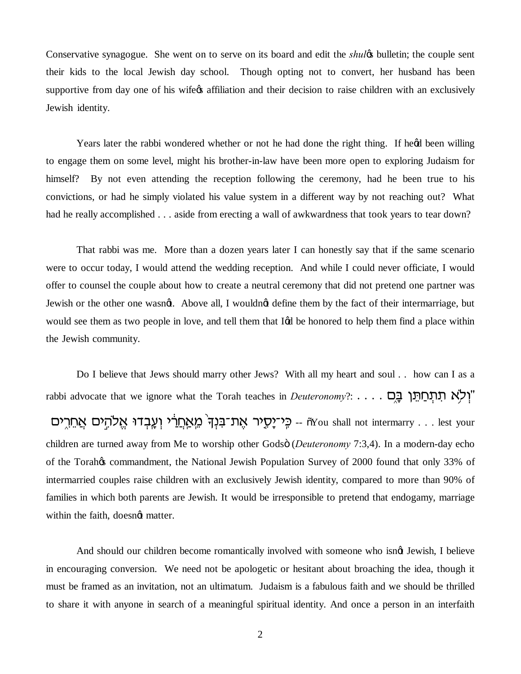Conservative synagogue. She went on to serve on its board and edit the *shule* bulletin; the couple sent their kids to the local Jewish day school. Though opting not to convert, her husband has been supportive from day one of his wife<sub>%</sub> affiliation and their decision to raise children with an exclusively Jewish identity.

Years later the rabbi wondered whether or not he had done the right thing. If head been willing to engage them on some level, might his brother-in-law have been more open to exploring Judaism for himself? By not even attending the reception following the ceremony, had he been true to his convictions, or had he simply violated his value system in a different way by not reaching out? What had he really accomplished . . . aside from erecting a wall of awkwardness that took years to tear down?

That rabbi was me. More than a dozen years later I can honestly say that if the same scenario were to occur today, I would attend the wedding reception. And while I could never officiate, I would offer to counsel the couple about how to create a neutral ceremony that did not pretend one partner was Jewish or the other one wasngt. Above all, I wouldngt define them by the fact of their intermarriage, but would see them as two people in love, and tell them that I& be honored to help them find a place within the Jewish community.

Do I believe that Jews should marry other Jews? With all my heart and soul . . how can I as a rabbi advocate that we ignore what the Torah teaches in *Deuteronomy*?: . . . . . "וְלָא תְתַחֲתָּן בָּ יבְנִךְ מֵאַחֲרֹי וְעֲבְדוּ אֱלֹהֶים אֲחֵרֶים GYou shall not intermarry . . . lest your children are turned away from Me to worship other Godsö (*Deuteronomy* 7:3,4). In a modern-day echo of the Torah $\alpha$  commandment, the National Jewish Population Survey of 2000 found that only 33% of intermarried couples raise children with an exclusively Jewish identity, compared to more than 90% of families in which both parents are Jewish. It would be irresponsible to pretend that endogamy, marriage within the faith, doesngt matter.

And should our children become romantically involved with someone who isngt Jewish, I believe in encouraging conversion. We need not be apologetic or hesitant about broaching the idea, though it must be framed as an invitation, not an ultimatum. Judaism is a fabulous faith and we should be thrilled to share it with anyone in search of a meaningful spiritual identity. And once a person in an interfaith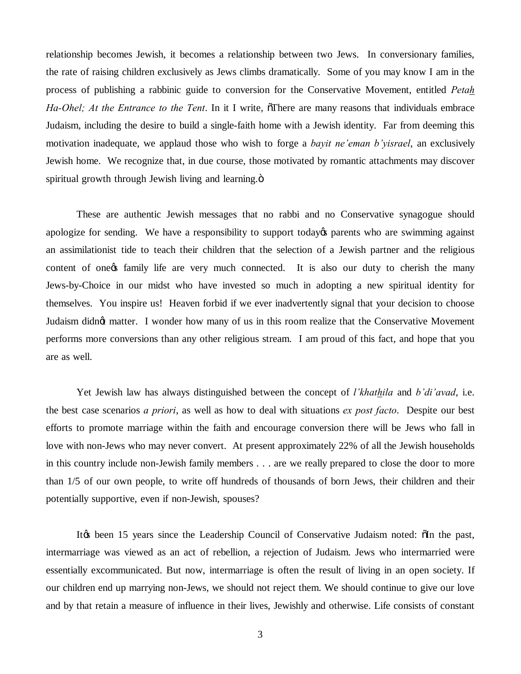relationship becomes Jewish, it becomes a relationship between two Jews. In conversionary families, the rate of raising children exclusively as Jews climbs dramatically. Some of you may know I am in the process of publishing a rabbinic guide to conversion for the Conservative Movement, entitled *Petah Ha-Ohel; At the Entrance to the Tent*. In it I write,  $\sigma$ There are many reasons that individuals embrace Judaism, including the desire to build a single-faith home with a Jewish identity. Far from deeming this motivation inadequate, we applaud those who wish to forge a *bayit ne'eman b'yisrael*, an exclusively Jewish home. We recognize that, in due course, those motivated by romantic attachments may discover spiritual growth through Jewish living and learning. $\ddot{o}$ 

These are authentic Jewish messages that no rabbi and no Conservative synagogue should apologize for sending. We have a responsibility to support today t parents who are swimming against an assimilationist tide to teach their children that the selection of a Jewish partner and the religious content of one of family life are very much connected. It is also our duty to cherish the many Jews-by-Choice in our midst who have invested so much in adopting a new spiritual identity for themselves. You inspire us! Heaven forbid if we ever inadvertently signal that your decision to choose Judaism didn't matter. I wonder how many of us in this room realize that the Conservative Movement performs more conversions than any other religious stream. I am proud of this fact, and hope that you are as well.

Yet Jewish law has always distinguished between the concept of *l'khathila* and *b'di'avad*, i.e. the best case scenarios *a priori*, as well as how to deal with situations *ex post facto*. Despite our best efforts to promote marriage within the faith and encourage conversion there will be Jews who fall in love with non-Jews who may never convert. At present approximately 22% of all the Jewish households in this country include non-Jewish family members . . . are we really prepared to close the door to more than 1/5 of our own people, to write off hundreds of thousands of born Jews, their children and their potentially supportive, even if non-Jewish, spouses?

Itøs been 15 years since the Leadership Council of Conservative Judaism noted:  $\delta$ In the past, intermarriage was viewed as an act of rebellion, a rejection of Judaism. Jews who intermarried were essentially excommunicated. But now, intermarriage is often the result of living in an open society. If our children end up marrying non-Jews, we should not reject them. We should continue to give our love and by that retain a measure of influence in their lives, Jewishly and otherwise. Life consists of constant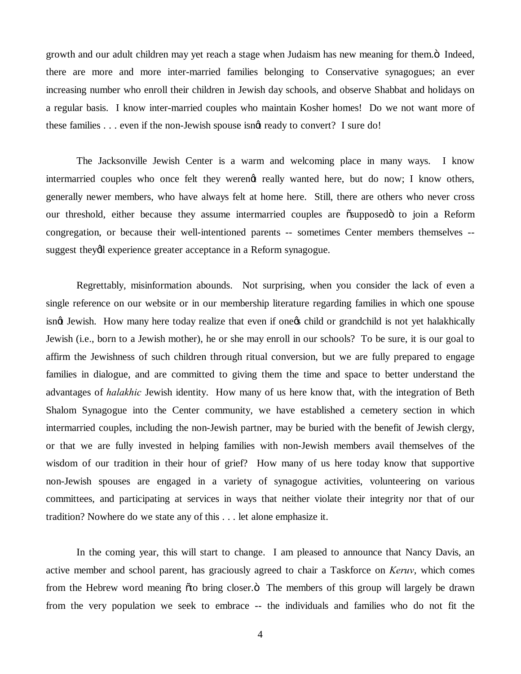growth and our adult children may yet reach a stage when Judaism has new meaning for them. $\ddot{o}$  Indeed, there are more and more inter-married families belonging to Conservative synagogues; an ever increasing number who enroll their children in Jewish day schools, and observe Shabbat and holidays on a regular basis. I know inter-married couples who maintain Kosher homes! Do we not want more of these families . . . even if the non-Jewish spouse isngt ready to convert? I sure do!

The Jacksonville Jewish Center is a warm and welcoming place in many ways. I know intermarried couples who once felt they werengt really wanted here, but do now; I know others, generally newer members, who have always felt at home here. Still, there are others who never cross our threshold, either because they assume intermarried couples are  $\tilde{o}$ supposed $\ddot{o}$  to join a Reform congregation, or because their well-intentioned parents -- sometimes Center members themselves - suggest theydl experience greater acceptance in a Reform synagogue.

Regrettably, misinformation abounds. Not surprising, when you consider the lack of even a single reference on our website or in our membership literature regarding families in which one spouse isnot Jewish. How many here today realize that even if one os child or grandchild is not yet halakhically Jewish (i.e., born to a Jewish mother), he or she may enroll in our schools? To be sure, it is our goal to affirm the Jewishness of such children through ritual conversion, but we are fully prepared to engage families in dialogue, and are committed to giving them the time and space to better understand the advantages of *halakhic* Jewish identity. How many of us here know that, with the integration of Beth Shalom Synagogue into the Center community, we have established a cemetery section in which intermarried couples, including the non-Jewish partner, may be buried with the benefit of Jewish clergy, or that we are fully invested in helping families with non-Jewish members avail themselves of the wisdom of our tradition in their hour of grief? How many of us here today know that supportive non-Jewish spouses are engaged in a variety of synagogue activities, volunteering on various committees, and participating at services in ways that neither violate their integrity nor that of our tradition? Nowhere do we state any of this . . . let alone emphasize it.

In the coming year, this will start to change. I am pleased to announce that Nancy Davis, an active member and school parent, has graciously agreed to chair a Taskforce on *Keruv*, which comes from the Hebrew word meaning  $\tilde{\sigma}$  to bring closer. $\ddot{\sigma}$  The members of this group will largely be drawn from the very population we seek to embrace -- the individuals and families who do not fit the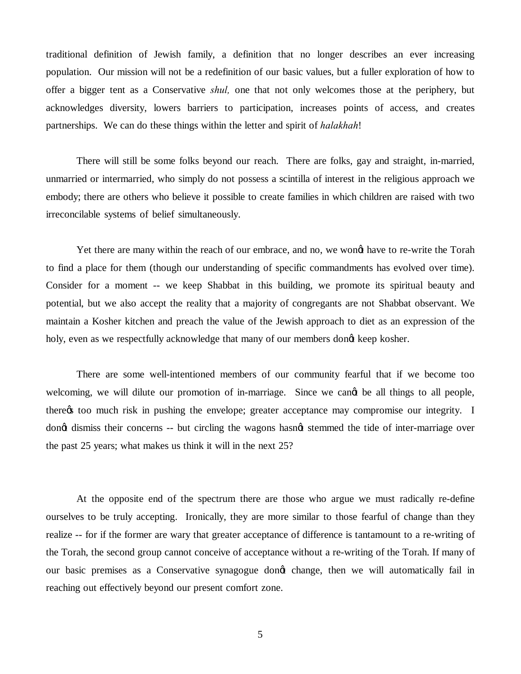traditional definition of Jewish family, a definition that no longer describes an ever increasing population. Our mission will not be a redefinition of our basic values, but a fuller exploration of how to offer a bigger tent as a Conservative *shul,* one that not only welcomes those at the periphery, but acknowledges diversity, lowers barriers to participation, increases points of access, and creates partnerships. We can do these things within the letter and spirit of *halakhah*!

There will still be some folks beyond our reach. There are folks, gay and straight, in-married, unmarried or intermarried, who simply do not possess a scintilla of interest in the religious approach we embody; there are others who believe it possible to create families in which children are raised with two irreconcilable systems of belief simultaneously.

Yet there are many within the reach of our embrace, and no, we wongt have to re-write the Torah to find a place for them (though our understanding of specific commandments has evolved over time). Consider for a moment -- we keep Shabbat in this building, we promote its spiritual beauty and potential, but we also accept the reality that a majority of congregants are not Shabbat observant. We maintain a Kosher kitchen and preach the value of the Jewish approach to diet as an expression of the holy, even as we respectfully acknowledge that many of our members dong keep kosher.

There are some well-intentioned members of our community fearful that if we become too welcoming, we will dilute our promotion of in-marriage. Since we cand be all things to all people, there too much risk in pushing the envelope; greater acceptance may compromise our integrity. I dong dismiss their concerns -- but circling the wagons hasngt stemmed the tide of inter-marriage over the past 25 years; what makes us think it will in the next 25?

At the opposite end of the spectrum there are those who argue we must radically re-define ourselves to be truly accepting. Ironically, they are more similar to those fearful of change than they realize -- for if the former are wary that greater acceptance of difference is tantamount to a re-writing of the Torah, the second group cannot conceive of acceptance without a re-writing of the Torah. If many of our basic premises as a Conservative synagogue dongt change, then we will automatically fail in reaching out effectively beyond our present comfort zone.

5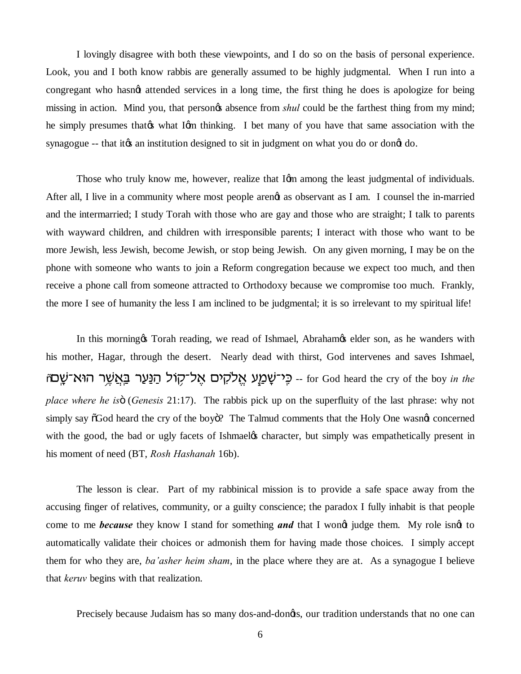I lovingly disagree with both these viewpoints, and I do so on the basis of personal experience. Look, you and I both know rabbis are generally assumed to be highly judgmental. When I run into a congregant who hasn't attended services in a long time, the first thing he does is apologize for being missing in action. Mind you, that persongs absence from *shul* could be the farthest thing from my mind; he simply presumes that to what I om thinking. I bet many of you have that same association with the synagogue -- that its an institution designed to sit in judgment on what you do or dongt do.

Those who truly know me, however, realize that Iom among the least judgmental of individuals. After all, I live in a community where most people arengt as observant as I am. I counsel the in-married and the intermarried; I study Torah with those who are gay and those who are straight; I talk to parents with wayward children, and children with irresponsible parents; I interact with those who want to be more Jewish, less Jewish, become Jewish, or stop being Jewish. On any given morning, I may be on the phone with someone who wants to join a Reform congregation because we expect too much, and then receive a phone call from someone attracted to Orthodoxy because we compromise too much. Frankly, the more I see of humanity the less I am inclined to be judgmental; it is so irrelevant to my spiritual life!

In this morning to Torah reading, we read of Ishmael, Abraham telder son, as he wanders with his mother, Hagar, through the desert. Nearly dead with thirst, God intervenes and saves Ishmael, <sub>ָ</sub> הַנַּעַר בַּאֲשֵׁר הוּא־שַׁם <sub>for God heard the cry of the boy *in the*</sub> *place where he is* 6 (*Genesis* 21:17). The rabbis pick up on the superfluity of the last phrase: why not simply say  $\delta$ God heard the cry of the boy $\delta$ ? The Talmud comments that the Holy One wasnet concerned with the good, the bad or ugly facets of Ishmael the scharacter, but simply was empathetically present in his moment of need (BT, *Rosh Hashanah* 16b).

The lesson is clear. Part of my rabbinical mission is to provide a safe space away from the accusing finger of relatives, community, or a guilty conscience; the paradox I fully inhabit is that people come to me *because* they know I stand for something **and** that I wong judge them. My role isngt to automatically validate their choices or admonish them for having made those choices. I simply accept them for who they are, *ba'asher heim sham*, in the place where they are at. As a synagogue I believe that *keruv* begins with that realization.

Precisely because Judaism has so many dos-and-dongts, our tradition understands that no one can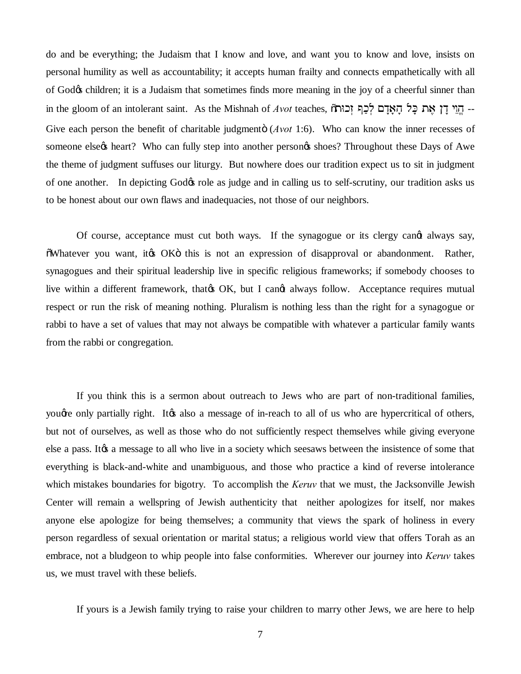do and be everything; the Judaism that I know and love, and want you to know and love, insists on personal humility as well as accountability; it accepts human frailty and connects empathetically with all of God $\alpha$  children; it is a Judaism that sometimes finds more meaning in the joy of a cheerful sinner than in the gloom of an intolerant saint. As the Mishnah of *Avot* teaches, בְּוֵי דַן אֵת כַל הַאֲדָם לְכַבְּ זְכוּת Give each person the benefit of charitable judgmento (*Avot* 1:6). Who can know the inner recesses of someone else $\alpha$  heart? Who can fully step into another person $\alpha$  shoes? Throughout these Days of Awe the theme of judgment suffuses our liturgy. But nowhere does our tradition expect us to sit in judgment of one another. In depicting God $\alpha$  role as judge and in calling us to self-scrutiny, our tradition asks us to be honest about our own flaws and inadequacies, not those of our neighbors.

Of course, acceptance must cut both ways. If the synagogue or its clergy cande always say,  $\delta$ Whatever you want, it to OK this is not an expression of disapproval or abandonment. Rather, synagogues and their spiritual leadership live in specific religious frameworks; if somebody chooses to live within a different framework, that  $\alpha$  OK, but I cand always follow. Acceptance requires mutual respect or run the risk of meaning nothing. Pluralism is nothing less than the right for a synagogue or rabbi to have a set of values that may not always be compatible with whatever a particular family wants from the rabbi or congregation.

If you think this is a sermon about outreach to Jews who are part of non-traditional families, youge only partially right. It is also a message of in-reach to all of us who are hypercritical of others, but not of ourselves, as well as those who do not sufficiently respect themselves while giving everyone else a pass. It a message to all who live in a society which seesaws between the insistence of some that everything is black-and-white and unambiguous, and those who practice a kind of reverse intolerance which mistakes boundaries for bigotry. To accomplish the *Keruv* that we must, the Jacksonville Jewish Center will remain a wellspring of Jewish authenticity that neither apologizes for itself, nor makes anyone else apologize for being themselves; a community that views the spark of holiness in every person regardless of sexual orientation or marital status; a religious world view that offers Torah as an embrace, not a bludgeon to whip people into false conformities. Wherever our journey into *Keruv* takes us, we must travel with these beliefs.

If yours is a Jewish family trying to raise your children to marry other Jews, we are here to help